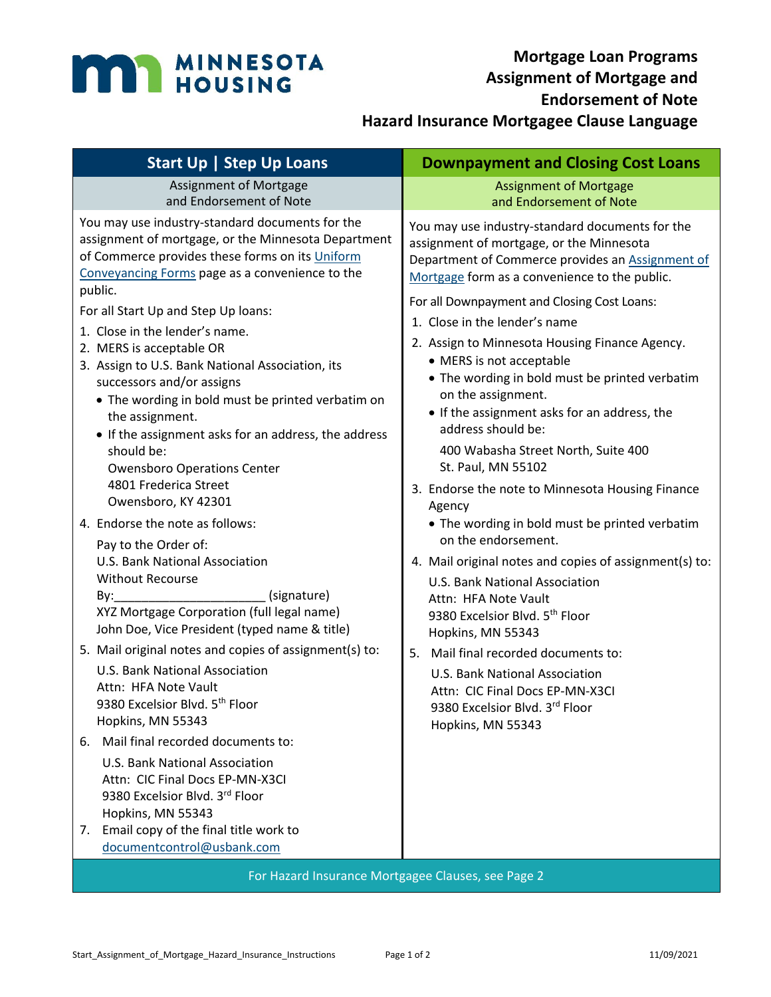## **MAN MINNESOTA**

| <b>Start Up   Step Up Loans</b>                                                                                                                                                                                                                                                                                                                                                                                                                                                                                                                                                                                                                                                                              | <b>Downpayment and Closing Cost Loans</b>                                                                                                                                                                                                                                                                                                                                                                                                                                                                                                                                                                                                                                                                        |
|--------------------------------------------------------------------------------------------------------------------------------------------------------------------------------------------------------------------------------------------------------------------------------------------------------------------------------------------------------------------------------------------------------------------------------------------------------------------------------------------------------------------------------------------------------------------------------------------------------------------------------------------------------------------------------------------------------------|------------------------------------------------------------------------------------------------------------------------------------------------------------------------------------------------------------------------------------------------------------------------------------------------------------------------------------------------------------------------------------------------------------------------------------------------------------------------------------------------------------------------------------------------------------------------------------------------------------------------------------------------------------------------------------------------------------------|
| Assignment of Mortgage<br>and Endorsement of Note                                                                                                                                                                                                                                                                                                                                                                                                                                                                                                                                                                                                                                                            | <b>Assignment of Mortgage</b><br>and Endorsement of Note                                                                                                                                                                                                                                                                                                                                                                                                                                                                                                                                                                                                                                                         |
| You may use industry-standard documents for the<br>assignment of mortgage, or the Minnesota Department<br>of Commerce provides these forms on its Uniform<br>Conveyancing Forms page as a convenience to the<br>public.<br>For all Start Up and Step Up loans:<br>1. Close in the lender's name.<br>2. MERS is acceptable OR<br>3. Assign to U.S. Bank National Association, its<br>successors and/or assigns<br>• The wording in bold must be printed verbatim on<br>the assignment.<br>• If the assignment asks for an address, the address<br>should be:<br><b>Owensboro Operations Center</b><br>4801 Frederica Street<br>Owensboro, KY 42301<br>4. Endorse the note as follows:<br>Pay to the Order of: | You may use industry-standard documents for the<br>assignment of mortgage, or the Minnesota<br>Department of Commerce provides an Assignment of<br>Mortgage form as a convenience to the public.<br>For all Downpayment and Closing Cost Loans:<br>1. Close in the lender's name<br>2. Assign to Minnesota Housing Finance Agency.<br>• MERS is not acceptable<br>• The wording in bold must be printed verbatim<br>on the assignment.<br>• If the assignment asks for an address, the<br>address should be:<br>400 Wabasha Street North, Suite 400<br>St. Paul, MN 55102<br>3. Endorse the note to Minnesota Housing Finance<br>Agency<br>• The wording in bold must be printed verbatim<br>on the endorsement. |
| U.S. Bank National Association<br><b>Without Recourse</b><br>(signature)<br>XYZ Mortgage Corporation (full legal name)<br>John Doe, Vice President (typed name & title)<br>5. Mail original notes and copies of assignment(s) to:<br><b>U.S. Bank National Association</b><br>Attn: HFA Note Vault<br>9380 Excelsior Blvd. 5 <sup>th</sup> Floor<br>Hopkins, MN 55343<br>6. Mail final recorded documents to:<br>U.S. Bank National Association<br>Attn: CIC Final Docs EP-MN-X3CI<br>9380 Excelsior Blvd. 3rd Floor<br>Hopkins, MN 55343<br>Email copy of the final title work to<br>7.<br>documentcontrol@usbank.com                                                                                       | 4. Mail original notes and copies of assignment(s) to:<br>U.S. Bank National Association<br>Attn: HFA Note Vault<br>9380 Excelsior Blvd. 5 <sup>th</sup> Floor<br>Hopkins, MN 55343<br>Mail final recorded documents to:<br>5.<br>U.S. Bank National Association<br>Attn: CIC Final Docs EP-MN-X3CI<br>9380 Excelsior Blvd. 3rd Floor<br>Hopkins, MN 55343                                                                                                                                                                                                                                                                                                                                                       |

For Hazard Insurance Mortgagee Clauses, see Page 2